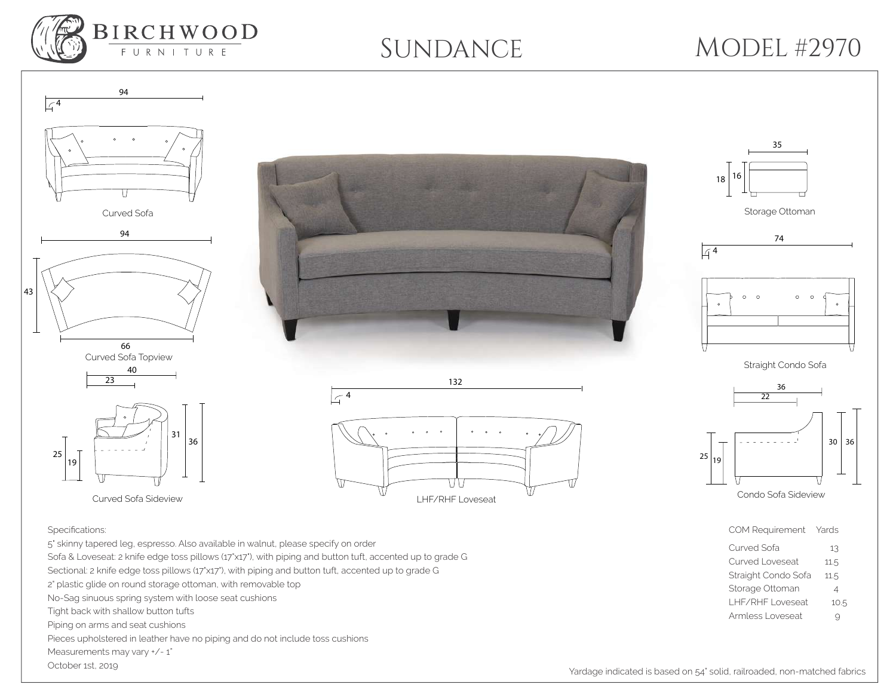

94

## SUNDANCE MODEL #2970





132







Straight Condo Sofa



## Specifications:

5" skinny tapered leg, espresso. Also available in walnut, please specify on order Sofa & Loveseat: 2 knife edge toss pillows (17"x17"), with piping and button tuft, accented up to grade G Sectional: 2 knife edge toss pillows (17'x17'), with piping and button tuft, accented up to grade G 2" plastic glide on round storage ottoman, with removable top No-Sag sinuous spring system with loose seat cushions Tight back with shallow button tufts Piping on arms and seat cushions Pieces upholstered in leather have no piping and do not include toss cushions Measurements may vary  $+/- 1$ " October 1st, 2019

## Straight Condo Sofa 11.5 Storage Ottoman 4

COM Requirement Yards Curved Sofa 13 Curved Loveseat 11.5

- LHF/RHF Loveseat 10.5
- Armless Loveseat 9